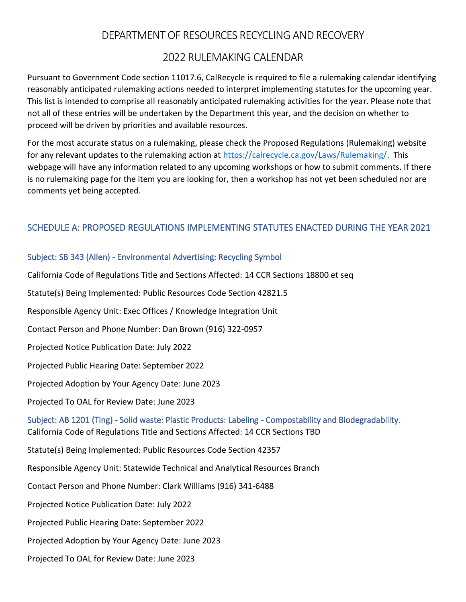## DEPARTMENT OF RESOURCES RECYCLING AND RECOVERY

# 2022 RULEMAKING CALENDAR

Pursuant to Government Code section 11017.6, CalRecycle is required to file a rulemaking calendar identifying reasonably anticipated rulemaking actions needed to interpret implementing statutes for the upcoming year. This list is intended to comprise all reasonably anticipated rulemaking activities for the year. Please note that not all of these entries will be undertaken by the Department this year, and the decision on whether to proceed will be driven by priorities and available resources.

For the most accurate status on a rulemaking, please check the Proposed Regulations (Rulemaking) website for any relevant updates to the rulemaking action at [https://calrecycle.ca.gov/Laws/Rulemaking/.](https://calrecycle.ca.gov/Laws/Rulemaking/) This webpage will have any information related to any upcoming workshops or how to submit comments. If there is no rulemaking page for the item you are looking for, then a workshop has not yet been scheduled nor are comments yet being accepted.

### SCHEDULE A: PROPOSED REGULATIONS IMPLEMENTING STATUTES ENACTED DURING THE YEAR 2021

#### Subject: SB 343 (Allen) - Environmental Advertising: Recycling Symbol

California Code of Regulations Title and Sections Affected: 14 CCR Sections 18800 et seq Statute(s) Being Implemented: Public Resources Code Section 42821.5 Responsible Agency Unit: Exec Offices / Knowledge Integration Unit Contact Person and Phone Number: Dan Brown (916) 322-0957 Projected Notice Publication Date: July 2022 Projected Public Hearing Date: September 2022 Projected Adoption by Your Agency Date: June 2023 Projected To OAL for Review Date: June 2023 Subject: AB 1201 (Ting) - Solid waste: Plastic Products: Labeling - Compostability and Biodegradability. California Code of Regulations Title and Sections Affected: 14 CCR Sections TBD Statute(s) Being Implemented: Public Resources Code Section 42357 Responsible Agency Unit: Statewide Technical and Analytical Resources Branch Contact Person and Phone Number: Clark Williams (916) 341-6488 Projected Notice Publication Date: July 2022 Projected Public Hearing Date: September 2022 Projected Adoption by Your Agency Date: June 2023 Projected To OAL for Review Date: June 2023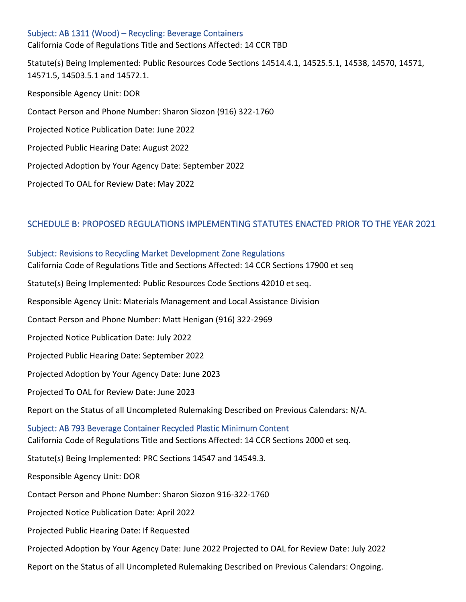## Subject: AB 1311 (Wood) – Recycling: Beverage Containers California Code of Regulations Title and Sections Affected: 14 CCR TBD

Statute(s) Being Implemented: Public Resources Code Sections 14514.4.1, 14525.5.1, 14538, 14570, 14571, 14571.5, 14503.5.1 and 14572.1.

Responsible Agency Unit: DOR Contact Person and Phone Number: Sharon Siozon (916) 322-1760 Projected Notice Publication Date: June 2022 Projected Public Hearing Date: August 2022 Projected Adoption by Your Agency Date: September 2022

Projected To OAL for Review Date: May 2022

### SCHEDULE B: PROPOSED REGULATIONS IMPLEMENTING STATUTES ENACTED PRIOR TO THE YEAR 2021

# Subject: Revisions to Recycling Market Development Zone Regulations California Code of Regulations Title and Sections Affected: 14 CCR Sections 17900 et seq Statute(s) Being Implemented: Public Resources Code Sections 42010 et seq. Responsible Agency Unit: Materials Management and Local Assistance Division Contact Person and Phone Number: Matt Henigan (916) 322-2969 Projected Notice Publication Date: July 2022 Projected Public Hearing Date: September 2022 Projected Adoption by Your Agency Date: June 2023 Projected To OAL for Review Date: June 2023 Report on the Status of all Uncompleted Rulemaking Described on Previous Calendars: N/A. Subject: AB 793 Beverage Container Recycled Plastic Minimum Content California Code of Regulations Title and Sections Affected: 14 CCR Sections 2000 et seq. Statute(s) Being Implemented: PRC Sections 14547 and 14549.3. Responsible Agency Unit: DOR Contact Person and Phone Number: Sharon Siozon 916-322-1760 Projected Notice Publication Date: April 2022 Projected Public Hearing Date: If Requested Projected Adoption by Your Agency Date: June 2022 Projected to OAL for Review Date: July 2022 Report on the Status of all Uncompleted Rulemaking Described on Previous Calendars: Ongoing.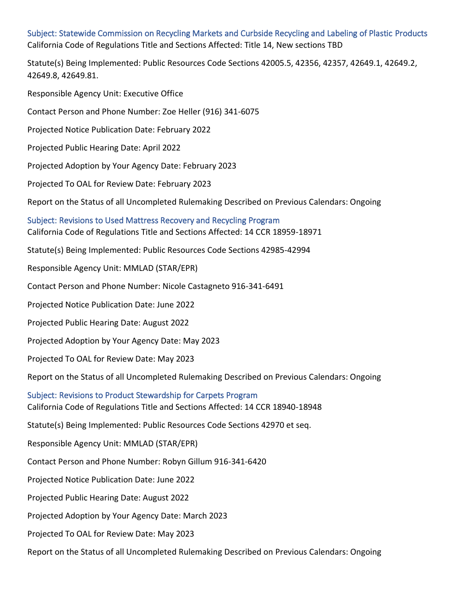Subject: Statewide Commission on Recycling Markets and Curbside Recycling and Labeling of Plastic Products California Code of Regulations Title and Sections Affected: Title 14, New sections TBD

Statute(s) Being Implemented: Public Resources Code Sections 42005.5, 42356, 42357, 42649.1, 42649.2, 42649.8, 42649.81.

Responsible Agency Unit: Executive Office

Contact Person and Phone Number: Zoe Heller (916) 341-6075

Projected Notice Publication Date: February 2022

Projected Public Hearing Date: April 2022

Projected Adoption by Your Agency Date: February 2023

Projected To OAL for Review Date: February 2023

Report on the Status of all Uncompleted Rulemaking Described on Previous Calendars: Ongoing

Subject: Revisions to Used Mattress Recovery and Recycling Program California Code of Regulations Title and Sections Affected: 14 CCR 18959-18971

Statute(s) Being Implemented: Public Resources Code Sections 42985-42994

Responsible Agency Unit: MMLAD (STAR/EPR)

Contact Person and Phone Number: Nicole Castagneto 916-341-6491

Projected Notice Publication Date: June 2022

Projected Public Hearing Date: August 2022

Projected Adoption by Your Agency Date: May 2023

Projected To OAL for Review Date: May 2023

Report on the Status of all Uncompleted Rulemaking Described on Previous Calendars: Ongoing

Subject: Revisions to Product Stewardship for Carpets Program California Code of Regulations Title and Sections Affected: 14 CCR 18940-18948

Statute(s) Being Implemented: Public Resources Code Sections 42970 et seq.

Responsible Agency Unit: MMLAD (STAR/EPR)

Contact Person and Phone Number: Robyn Gillum 916-341-6420

Projected Notice Publication Date: June 2022

Projected Public Hearing Date: August 2022

Projected Adoption by Your Agency Date: March 2023

Projected To OAL for Review Date: May 2023

Report on the Status of all Uncompleted Rulemaking Described on Previous Calendars: Ongoing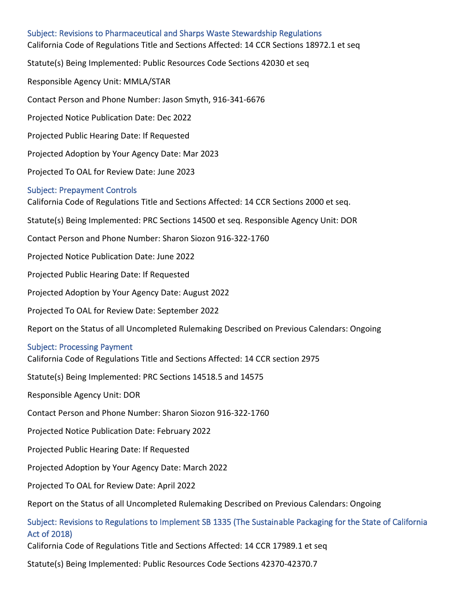Subject: Revisions to Pharmaceutical and Sharps Waste Stewardship Regulations California Code of Regulations Title and Sections Affected: 14 CCR Sections 18972.1 et seq Statute(s) Being Implemented: Public Resources Code Sections 42030 et seq Responsible Agency Unit: MMLA/STAR Contact Person and Phone Number: Jason Smyth, 916-341-6676 Projected Notice Publication Date: Dec 2022 Projected Public Hearing Date: If Requested Projected Adoption by Your Agency Date: Mar 2023 Projected To OAL for Review Date: June 2023 Subject: Prepayment Controls California Code of Regulations Title and Sections Affected: 14 CCR Sections 2000 et seq. Statute(s) Being Implemented: PRC Sections 14500 et seq. Responsible Agency Unit: DOR Contact Person and Phone Number: Sharon Siozon 916-322-1760 Projected Notice Publication Date: June 2022 Projected Public Hearing Date: If Requested Projected Adoption by Your Agency Date: August 2022 Projected To OAL for Review Date: September 2022 Report on the Status of all Uncompleted Rulemaking Described on Previous Calendars: Ongoing Subject: Processing Payment California Code of Regulations Title and Sections Affected: 14 CCR section 2975 Statute(s) Being Implemented: PRC Sections 14518.5 and 14575 Responsible Agency Unit: DOR Contact Person and Phone Number: Sharon Siozon 916-322-1760 Projected Notice Publication Date: February 2022 Projected Public Hearing Date: If Requested Projected Adoption by Your Agency Date: March 2022 Projected To OAL for Review Date: April 2022 Report on the Status of all Uncompleted Rulemaking Described on Previous Calendars: Ongoing Subject: Revisions to Regulations to Implement SB 1335 (The Sustainable Packaging for the State of California Act of 2018) California Code of Regulations Title and Sections Affected: 14 CCR 17989.1 et seq

Statute(s) Being Implemented: Public Resources Code Sections 42370-42370.7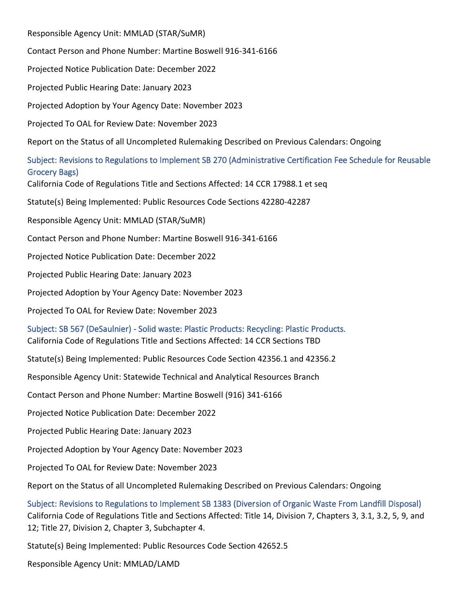Responsible Agency Unit: MMLAD (STAR/SuMR)

Contact Person and Phone Number: Martine Boswell 916-341-6166

Projected Notice Publication Date: December 2022

Projected Public Hearing Date: January 2023

Projected Adoption by Your Agency Date: November 2023

Projected To OAL for Review Date: November 2023

Report on the Status of all Uncompleted Rulemaking Described on Previous Calendars: Ongoing

Subject: Revisions to Regulations to Implement SB 270 (Administrative Certification Fee Schedule for Reusable Grocery Bags)

California Code of Regulations Title and Sections Affected: 14 CCR 17988.1 et seq

Statute(s) Being Implemented: Public Resources Code Sections 42280-42287

Responsible Agency Unit: MMLAD (STAR/SuMR)

Contact Person and Phone Number: Martine Boswell 916-341-6166

Projected Notice Publication Date: December 2022

Projected Public Hearing Date: January 2023

Projected Adoption by Your Agency Date: November 2023

Projected To OAL for Review Date: November 2023

Subject: SB 567 (DeSaulnier) - Solid waste: Plastic Products: Recycling: Plastic Products. California Code of Regulations Title and Sections Affected: 14 CCR Sections TBD

Statute(s) Being Implemented: Public Resources Code Section 42356.1 and 42356.2

Responsible Agency Unit: Statewide Technical and Analytical Resources Branch

Contact Person and Phone Number: Martine Boswell (916) 341-6166

Projected Notice Publication Date: December 2022

Projected Public Hearing Date: January 2023

Projected Adoption by Your Agency Date: November 2023

Projected To OAL for Review Date: November 2023

Report on the Status of all Uncompleted Rulemaking Described on Previous Calendars: Ongoing

Subject: Revisions to Regulations to Implement SB 1383 (Diversion of Organic Waste From Landfill Disposal) California Code of Regulations Title and Sections Affected: Title 14, Division 7, Chapters 3, 3.1, 3.2, 5, 9, and 12; Title 27, Division 2, Chapter 3, Subchapter 4.

Statute(s) Being Implemented: Public Resources Code Section 42652.5

Responsible Agency Unit: MMLAD/LAMD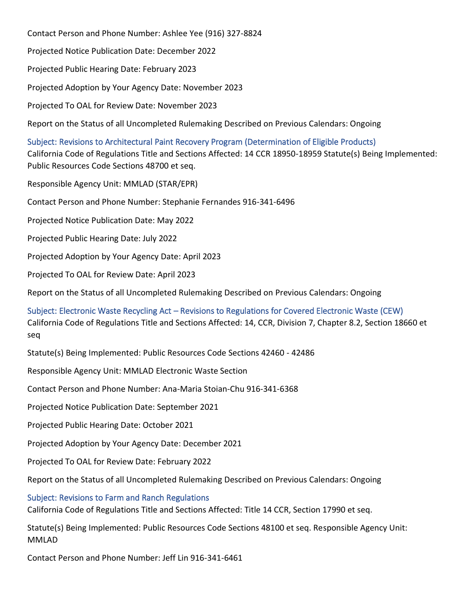Contact Person and Phone Number: Ashlee Yee (916) 327-8824

Projected Notice Publication Date: December 2022

Projected Public Hearing Date: February 2023

Projected Adoption by Your Agency Date: November 2023

Projected To OAL for Review Date: November 2023

Report on the Status of all Uncompleted Rulemaking Described on Previous Calendars: Ongoing

Subject: Revisions to Architectural Paint Recovery Program (Determination of Eligible Products) California Code of Regulations Title and Sections Affected: 14 CCR 18950-18959 Statute(s) Being Implemented: Public Resources Code Sections 48700 et seq.

Responsible Agency Unit: MMLAD (STAR/EPR)

Contact Person and Phone Number: Stephanie Fernandes 916-341-6496

Projected Notice Publication Date: May 2022

Projected Public Hearing Date: July 2022

Projected Adoption by Your Agency Date: April 2023

Projected To OAL for Review Date: April 2023

Report on the Status of all Uncompleted Rulemaking Described on Previous Calendars: Ongoing

Subject: Electronic Waste Recycling Act – Revisions to Regulations for Covered Electronic Waste (CEW) California Code of Regulations Title and Sections Affected: 14, CCR, Division 7, Chapter 8.2, Section 18660 et seq

Statute(s) Being Implemented: Public Resources Code Sections 42460 - 42486

Responsible Agency Unit: MMLAD Electronic Waste Section

Contact Person and Phone Number: Ana-Maria Stoian-Chu 916-341-6368

Projected Notice Publication Date: September 2021

Projected Public Hearing Date: October 2021

Projected Adoption by Your Agency Date: December 2021

Projected To OAL for Review Date: February 2022

Report on the Status of all Uncompleted Rulemaking Described on Previous Calendars: Ongoing

Subject: Revisions to Farm and Ranch Regulations

California Code of Regulations Title and Sections Affected: Title 14 CCR, Section 17990 et seq.

Statute(s) Being Implemented: Public Resources Code Sections 48100 et seq. Responsible Agency Unit: **MMLAD** 

Contact Person and Phone Number: Jeff Lin 916-341-6461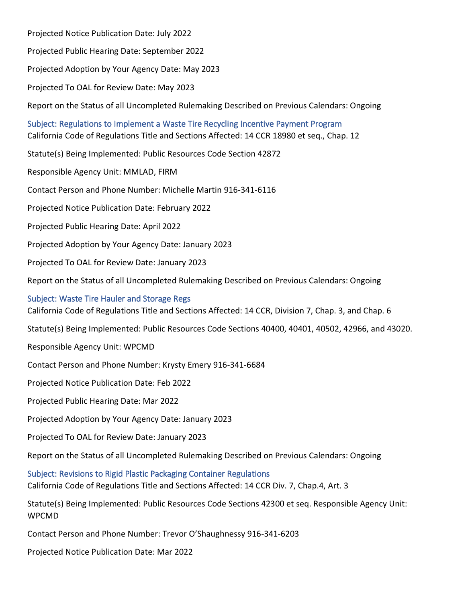Projected Notice Publication Date: July 2022

Projected Public Hearing Date: September 2022

Projected Adoption by Your Agency Date: May 2023

Projected To OAL for Review Date: May 2023

Report on the Status of all Uncompleted Rulemaking Described on Previous Calendars: Ongoing

Subject: Regulations to Implement a Waste Tire Recycling Incentive Payment Program California Code of Regulations Title and Sections Affected: 14 CCR 18980 et seq., Chap. 12

Statute(s) Being Implemented: Public Resources Code Section 42872

Responsible Agency Unit: MMLAD, FIRM

Contact Person and Phone Number: Michelle Martin 916-341-6116

Projected Notice Publication Date: February 2022

Projected Public Hearing Date: April 2022

Projected Adoption by Your Agency Date: January 2023

Projected To OAL for Review Date: January 2023

Report on the Status of all Uncompleted Rulemaking Described on Previous Calendars: Ongoing

Subject: Waste Tire Hauler and Storage Regs

California Code of Regulations Title and Sections Affected: 14 CCR, Division 7, Chap. 3, and Chap. 6

Statute(s) Being Implemented: Public Resources Code Sections 40400, 40401, 40502, 42966, and 43020.

Responsible Agency Unit: WPCMD

Contact Person and Phone Number: Krysty Emery 916-341-6684

Projected Notice Publication Date: Feb 2022

Projected Public Hearing Date: Mar 2022

Projected Adoption by Your Agency Date: January 2023

Projected To OAL for Review Date: January 2023

Report on the Status of all Uncompleted Rulemaking Described on Previous Calendars: Ongoing

Subject: Revisions to Rigid Plastic Packaging Container Regulations California Code of Regulations Title and Sections Affected: 14 CCR Div. 7, Chap.4, Art. 3

Statute(s) Being Implemented: Public Resources Code Sections 42300 et seq. Responsible Agency Unit: WPCMD

Contact Person and Phone Number: Trevor O'Shaughnessy 916-341-6203

Projected Notice Publication Date: Mar 2022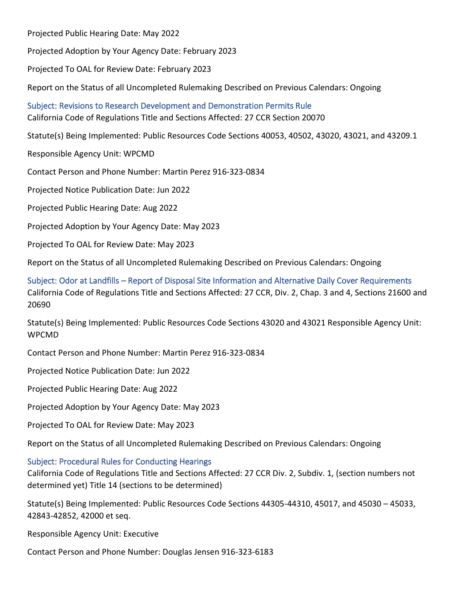Projected Public Hearing Date: May 2022

Projected Adoption by Your Agency Date: February 2023

Projected To OAL for Review Date: February 2023

Report on the Status of all Uncompleted Rulemaking Described on Previous Calendars: Ongoing

Subject: Revisions to Research Development and Demonstration Permits Rule California Code of Regulations Title and Sections Affected: 27 CCR Section 20070

Statute(s) Being Implemented: Public Resources Code Sections 40053, 40502, 43020, 43021, and 43209.1

Responsible Agency Unit: WPCMD

Contact Person and Phone Number: Martin Perez 916-323-0834

Projected Notice Publication Date: Jun 2022

Projected Public Hearing Date: Aug 2022

Projected Adoption by Your Agency Date: May 2023

Projected To OAL for Review Date: May 2023

Report on the Status of all Uncompleted Rulemaking Described on Previous Calendars: Ongoing

Subject: Odor at Landfills – Report of Disposal Site Information and Alternative Daily Cover Requirements California Code of Regulations Title and Sections Affected: 27 CCR, Div. 2, Chap. 3 and 4, Sections 21600 and 20690

Statute(s) Being Implemented: Public Resources Code Sections 43020 and 43021 Responsible Agency Unit: WPCMD

Contact Person and Phone Number: Martin Perez 916-323-0834

Projected Notice Publication Date: Jun 2022

Projected Public Hearing Date: Aug 2022

Projected Adoption by Your Agency Date: May 2023

Projected To OAL for Review Date: May 2023

Report on the Status of all Uncompleted Rulemaking Described on Previous Calendars: Ongoing

#### Subject: Procedural Rules for Conducting Hearings

California Code of Regulations Title and Sections Affected: 27 CCR Div. 2, Subdiv. 1, (section numbers not determined yet) Title 14 (sections to be determined)

Statute(s) Being Implemented: Public Resources Code Sections 44305-44310, 45017, and 45030 – 45033, 42843-42852, 42000 et seq.

Responsible Agency Unit: Executive

Contact Person and Phone Number: Douglas Jensen 916-323-6183